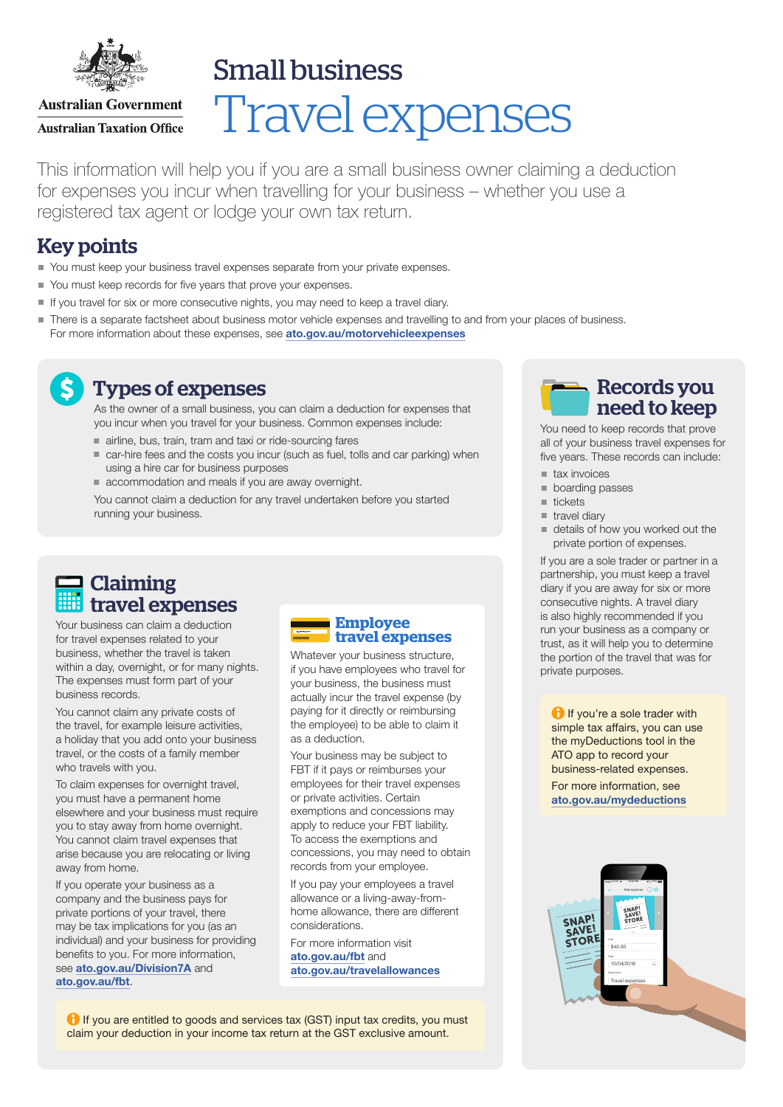

Small business

**Australian Government Australian Taxation Office** 

# Travel expenses

This information will help you if you are a small business owner claiming a deduction for expenses you incur when travelling for your business – whether you use a registered tax agent or lodge your own tax return.

## Key points

- You must keep your business travel expenses separate from your private expenses.
- You must keep records for five years that prove your expenses.
- If you travel for six or more consecutive nights, you may need to keep a travel diary.
- There is a separate factsheet about business motor vehicle expenses and travelling to and from your places of business. For more information about these expenses, see [ato.gov.au/motorvehicleexpenses](http://ato.gov.au/motorvehicleexpenses)

### Types of expenses

As the owner of a small business, you can claim a deduction for expenses that you incur when you travel for your business. Common expenses include:

- airline, bus, train, tram and taxi or ride-sourcing fares
- car-hire fees and the costs you incur (such as fuel, tolls and car parking) when using a hire car for business purposes
- accommodation and meals if you are away overnight.

You cannot claim a deduction for any travel undertaken before you started running your business.

# **Claiming** travel expenses

Your business can claim a deduction for travel expenses related to your business, whether the travel is taken within a day, overnight, or for many nights. The expenses must form part of your business records.

You cannot claim any private costs of the travel, for example leisure activities, a holiday that you add onto your business travel, or the costs of a family member who travels with you.

To claim expenses for overnight travel, you must have a permanent home elsewhere and your business must require you to stay away from home overnight. You cannot claim travel expenses that arise because you are relocating or living away from home.

If you operate your business as a company and the business pays for private portions of your travel, there may be tax implications for you (as an individual) and your business for providing benefits to you. For more information, see [ato.gov.au/Division7A](http://ato.gov.au/Division7A) and [ato.gov.au/fbt](http://ato.gov.au/fbt).



Whatever your business structure, if you have employees who travel for your business, the business must actually incur the travel expense (by paying for it directly or reimbursing the employee) to be able to claim it as a deduction.

Your business may be subject to FBT if it pays or reimburses your employees for their travel expenses or private activities. Certain exemptions and concessions may apply to reduce your FBT liability. To access the exemptions and concessions, you may need to obtain records from your employee.

If you pay your employees a travel allowance or a living-away-fromhome allowance, there are different considerations.

For more information visit [ato.gov.au/fbt](http://ato.gov.au/fbt) and [ato.gov.au/travelallowances](http://ato.gov.au/travelallowances)

**1** If you are entitled to goods and services tax (GST) input tax credits, you must claim your deduction in your income tax return at the GST exclusive amount.

# Records you need to keep

You need to keep records that prove all of your business travel expenses for five years. These records can include:

- $\blacksquare$  tax invoices
- **boarding passes**
- tickets
- $\blacksquare$  travel diary
- details of how you worked out the private portion of expenses.

If you are a sole trader or partner in a partnership, you must keep a travel diary if you are away for six or more consecutive nights. A travel diary is also highly recommended if you run your business as a company or trust, as it will help you to determine the portion of the travel that was for private purposes.

**If you're a sole trader with** simple tax affairs, you can use the myDeductions tool in the ATO app to record your business-related expenses.

For more information, see [ato.gov.au/mydeductions](http://ato.gov.au/mydeductions)